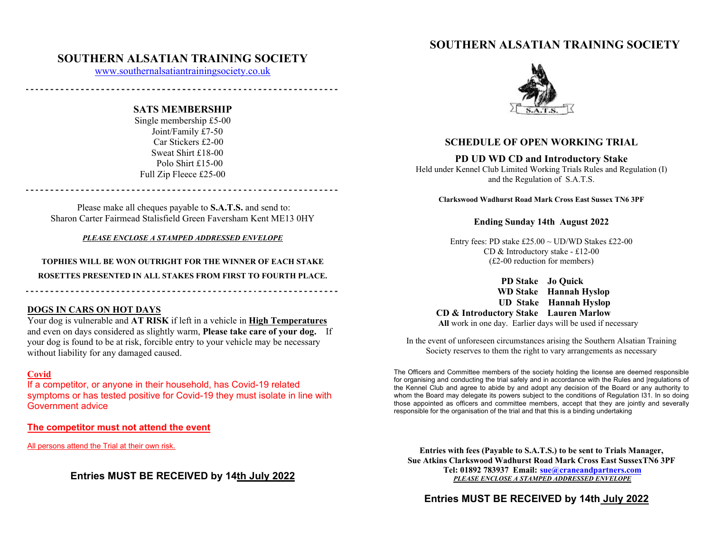# **SOUTHERN ALSATIAN TRAINING SOCIETY**

## **SOUTHERN ALSATIAN TRAINING SOCIETY**

www.southernalsatiantrainingsociety.co.uk

### **SATS MEMBERSHIP**

Single membership £5-00 Joint/Family £7-50 Car Stickers £2-00 Sweat Shirt £18-00 Polo Shirt £15-00 Full Zip Fleece £25-00

Please make all cheques payable to **S.A.T.S.** and send to: Sharon Carter Fairmead Stalisfield Green Faversham Kent ME13 0HY

*PLEASE ENCLOSE A STAMPED ADDRESSED ENVELOPE*

**TOPHIES WILL BE WON OUTRIGHT FOR THE WINNER OF EACH STAKE ROSETTES PRESENTED IN ALL STAKES FROM FIRST TO FOURTH PLACE.** 

#### **DOGS IN CARS ON HOT DAYS**

Your dog is vulnerable and **AT RISK** if left in a vehicle in **High Temperatures**  and even on days considered as slightly warm, **Please take care of your dog.** If your dog is found to be at risk, forcible entry to your vehicle may be necessary without liability for any damaged caused.

## **Covid**

If a competitor, or anyone in their household, has Covid-19 related symptoms or has tested positive for Covid-19 they must isolate in line with Government advice

**The competitor must not attend the event** 

All persons attend the Trial at their own risk.

**Entries MUST BE RECEIVED by 14th July 2022** 



## **SCHEDULE OF OPEN WORKING TRIAL**

#### **PD UD WD CD and Introductory Stake**

Held under Kennel Club Limited Working Trials Rules and Regulation (I) and the Regulation of S.A.T.S.

**Clarkswood Wadhurst Road Mark Cross East Sussex TN6 3PF** 

#### **Ending Sunday 14th August 2022**

Entry fees: PD stake  $£25.00 \sim$  UD/WD Stakes £22-00 CD & Introductory stake - £12-00 (£2-00 reduction for members)

 **PD Stake Jo Quick WD Stake Hannah Hyslop UD Stake Hannah Hyslop CD & Introductory Stake Lauren Marlow All** work in one day. Earlier days will be used if necessary

In the event of unforeseen circumstances arising the Southern Alsatian Training Society reserves to them the right to vary arrangements as necessary

The Officers and Committee members of the society holding the license are deemed responsible for organising and conducting the trial safely and in accordance with the Rules and |regulations of the Kennel Club and agree to abide by and adopt any decision of the Board or any authority to whom the Board may delegate its powers subject to the conditions of Regulation I31. In so doing those appointed as officers and committee members, accept that they are jointly and severally responsible for the organisation of the trial and that this is a binding undertaking

**Entries with fees (Payable to S.A.T.S.) to be sent to Trials Manager, Sue Atkins Clarkswood Wadhurst Road Mark Cross East SussexTN6 3PF Tel: 01892 783937 Email: sue@craneandpartners.com** *PLEASE ENCLOSE A STAMPED ADDRESSED ENVELOPE*

**Entries MUST BE RECEIVED by 14th July 2022**